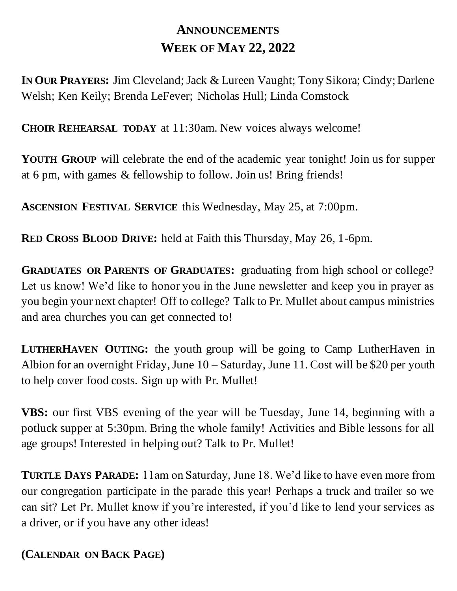## **ANNOUNCEMENTS WEEK OF MAY 22, 2022**

**IN OUR PRAYERS:** Jim Cleveland; Jack & Lureen Vaught; Tony Sikora; Cindy; Darlene Welsh; Ken Keily; Brenda LeFever; Nicholas Hull; Linda Comstock

**CHOIR REHEARSAL TODAY** at 11:30am. New voices always welcome!

**YOUTH GROUP** will celebrate the end of the academic year tonight! Join us for supper at 6 pm, with games & fellowship to follow. Join us! Bring friends!

**ASCENSION FESTIVAL SERVICE** this Wednesday, May 25, at 7:00pm.

**RED CROSS BLOOD DRIVE:** held at Faith this Thursday, May 26, 1-6pm.

**GRADUATES OR PARENTS OF GRADUATES:** graduating from high school or college? Let us know! We'd like to honor you in the June newsletter and keep you in prayer as you begin your next chapter! Off to college? Talk to Pr. Mullet about campus ministries and area churches you can get connected to!

**LUTHERHAVEN OUTING:** the youth group will be going to Camp LutherHaven in Albion for an overnight Friday, June 10 – Saturday, June 11. Cost will be \$20 per youth to help cover food costs. Sign up with Pr. Mullet!

**VBS:** our first VBS evening of the year will be Tuesday, June 14, beginning with a potluck supper at 5:30pm. Bring the whole family! Activities and Bible lessons for all age groups! Interested in helping out? Talk to Pr. Mullet!

**TURTLE DAYS PARADE:** 11am on Saturday, June 18. We'd like to have even more from our congregation participate in the parade this year! Perhaps a truck and trailer so we can sit? Let Pr. Mullet know if you're interested, if you'd like to lend your services as a driver, or if you have any other ideas!

## **(CALENDAR ON BACK PAGE)**